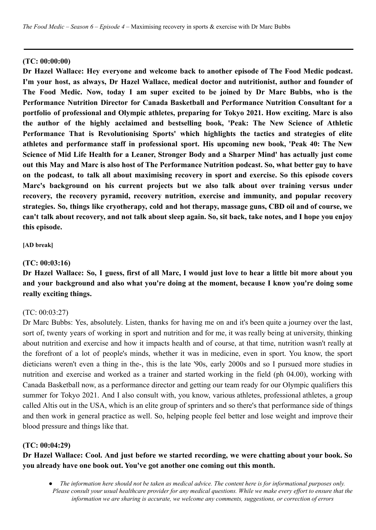#### **(TC: 00:00:00)**

**Dr Hazel Wallace: Hey everyone and welcome back to another episode of The Food Medic podcast. I'm your host, as always, Dr Hazel Wallace, medical doctor and nutritionist, author and founder of The Food Medic. Now, today I am super excited to be joined by Dr Marc Bubbs, who is the Performance Nutrition Director for Canada Basketball and Performance Nutrition Consultant for a portfolio of professional and Olympic athletes, preparing for Tokyo 2021. How exciting. Marc is also the author of the highly acclaimed and bestselling book, 'Peak: The New Science of Athletic Performance That is Revolutionising Sports' which highlights the tactics and strategies of elite athletes and performance staff in professional sport. His upcoming new book, 'Peak 40: The New Science of Mid Life Health for a Leaner, Stronger Body and a Sharper Mind' has actually just come** out this May and Marc is also host of The Performance Nutrition podcast. So, what better guy to have **on the podcast, to talk all about maximising recovery in sport and exercise. So this episode covers Marc's background on his current projects but we also talk about over training versus under recovery, the recovery pyramid, recovery nutrition, exercise and immunity, and popular recovery strategies. So, things like cryotherapy, cold and hot therapy, massage guns, CBD oil and of course, we** can't talk about recovery, and not talk about sleep again. So, sit back, take notes, and I hope you enjoy **this episode.**

#### **[AD break]**

#### **(TC: 00:03:16)**

Dr Hazel Wallace: So, I guess, first of all Marc, I would just love to hear a little bit more about you **and your background and also what you're doing at the moment, because I know you're doing some really exciting things.**

#### (TC: 00:03:27)

Dr Marc Bubbs: Yes, absolutely. Listen, thanks for having me on and it's been quite a journey over the last, sort of, twenty years of working in sport and nutrition and for me, it was really being at university, thinking about nutrition and exercise and how it impacts health and of course, at that time, nutrition wasn't really at the forefront of a lot of people's minds, whether it was in medicine, even in sport. You know, the sport dieticians weren't even a thing in the-, this is the late '90s, early 2000s and so I pursued more studies in nutrition and exercise and worked as a trainer and started working in the field (ph 04.00), working with Canada Basketball now, as a performance director and getting our team ready for our Olympic qualifiers this summer for Tokyo 2021. And I also consult with, you know, various athletes, professional athletes, a group called Altis out in the USA, which is an elite group of sprinters and so there's that performance side of things and then work in general practice as well. So, helping people feel better and lose weight and improve their blood pressure and things like that.

#### **(TC: 00:04:29)**

**Dr Hazel Wallace: Cool. And just before we started recording, we were chatting about your book. So you already have one book out. You've got another one coming out this month.**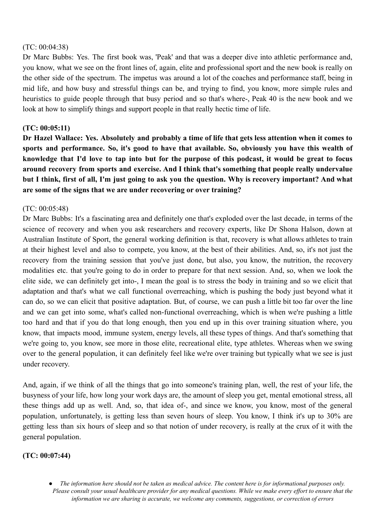### (TC: 00:04:38)

Dr Marc Bubbs: Yes. The first book was, 'Peak' and that was a deeper dive into athletic performance and, you know, what we see on the front lines of, again, elite and professional sport and the new book is really on the other side of the spectrum. The impetus was around a lot of the coaches and performance staff, being in mid life, and how busy and stressful things can be, and trying to find, you know, more simple rules and heuristics to guide people through that busy period and so that's where-, Peak 40 is the new book and we look at how to simplify things and support people in that really hectic time of life.

## **(TC: 00:05:11)**

Dr Hazel Wallace: Yes. Absolutely and probably a time of life that gets less attention when it comes to **sports and performance. So, it's good to have that available. So, obviously you have this wealth of** knowledge that I'd love to tap into but for the purpose of this podcast, it would be great to focus **around recovery from sports and exercise. And I think that's something that people really undervalue** but I think, first of all, I'm just going to ask you the question. Why is recovery important? And what **are some of the signs that we are under recovering or over training?**

### (TC: 00:05:48)

Dr Marc Bubbs: It's a fascinating area and definitely one that's exploded over the last decade, in terms of the science of recovery and when you ask researchers and recovery experts, like Dr Shona Halson, down at Australian Institute of Sport, the general working definition is that, recovery is what allows athletes to train at their highest level and also to compete, you know, at the best of their abilities. And, so, it's not just the recovery from the training session that you've just done, but also, you know, the nutrition, the recovery modalities etc. that you're going to do in order to prepare for that next session. And, so, when we look the elite side, we can definitely get into-, I mean the goal is to stress the body in training and so we elicit that adaptation and that's what we call functional overreaching, which is pushing the body just beyond what it can do, so we can elicit that positive adaptation. But, of course, we can push a little bit too far over the line and we can get into some, what's called non-functional overreaching, which is when we're pushing a little too hard and that if you do that long enough, then you end up in this over training situation where, you know, that impacts mood, immune system, energy levels, all these types of things. And that's something that we're going to, you know, see more in those elite, recreational elite, type athletes. Whereas when we swing over to the general population, it can definitely feel like we're over training but typically what we see is just under recovery.

And, again, if we think of all the things that go into someone's training plan, well, the rest of your life, the busyness of your life, how long your work days are, the amount of sleep you get, mental emotional stress, all these things add up as well. And, so, that idea of-, and since we know, you know, most of the general population, unfortunately, is getting less than seven hours of sleep. You know, I think it's up to 30% are getting less than six hours of sleep and so that notion of under recovery, is really at the crux of it with the general population.

#### **(TC: 00:07:44)**

The information here should not be taken as medical advice. The content here is for informational purposes only. Please consult your usual healthcare provider for any medical questions. While we make every effort to ensure that the *information we are sharing is accurate, we welcome any comments, suggestions, or correction of errors*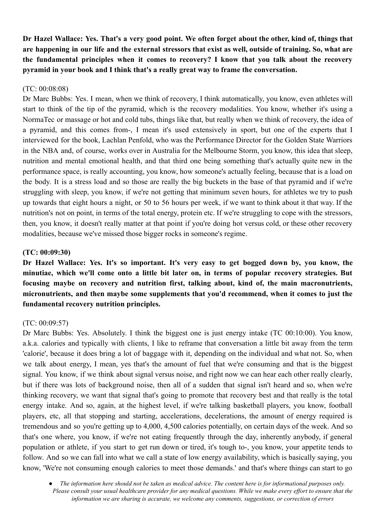Dr Hazel Wallace: Yes. That's a very good point. We often forget about the other, kind of, things that are happening in our life and the external stressors that exist as well, outside of training. So, what are **the fundamental principles when it comes to recovery? I know that you talk about the recovery pyramid in your book and I think that's a really great way to frame the conversation.**

### (TC: 00:08:08)

Dr Marc Bubbs: Yes. I mean, when we think of recovery, I think automatically, you know, even athletes will start to think of the tip of the pyramid, which is the recovery modalities. You know, whether it's using a NormaTec or massage or hot and cold tubs, things like that, but really when we think of recovery, the idea of a pyramid, and this comes from-, I mean it's used extensively in sport, but one of the experts that I interviewed for the book, Lachlan Penfold, who was the Performance Director for the Golden State Warriors in the NBA and, of course, works over in Australia for the Melbourne Storm, you know, this idea that sleep, nutrition and mental emotional health, and that third one being something that's actually quite new in the performance space, is really accounting, you know, how someone's actually feeling, because that is a load on the body. It is a stress load and so those are really the big buckets in the base of that pyramid and if we're struggling with sleep, you know, if we're not getting that minimum seven hours, for athletes we try to push up towards that eight hours a night, or 50 to 56 hours per week, if we want to think about it that way. If the nutrition's not on point, in terms of the total energy, protein etc. If we're struggling to cope with the stressors, then, you know, it doesn't really matter at that point if you're doing hot versus cold, or these other recovery modalities, because we've missed those bigger rocks in someone's regime.

### **(TC: 00:09:30)**

**Dr Hazel Wallace: Yes. It's so important. It's very easy to get bogged down by, you know, the minutiae, which we'll come onto a little bit later on, in terms of popular recovery strategies. But focusing maybe on recovery and nutrition first, talking about, kind of, the main macronutrients, micronutrients, and then maybe some supplements that you'd recommend, when it comes to just the fundamental recovery nutrition principles.**

### (TC: 00:09:57)

Dr Marc Bubbs: Yes. Absolutely. I think the biggest one is just energy intake (TC 00:10:00). You know, a.k.a. calories and typically with clients, I like to reframe that conversation a little bit away from the term 'calorie', because it does bring a lot of baggage with it, depending on the individual and what not. So, when we talk about energy, I mean, yes that's the amount of fuel that we're consuming and that is the biggest signal. You know, if we think about signal versus noise, and right now we can hear each other really clearly, but if there was lots of background noise, then all of a sudden that signal isn't heard and so, when we're thinking recovery, we want that signal that's going to promote that recovery best and that really is the total energy intake. And so, again, at the highest level, if we're talking basketball players, you know, football players, etc, all that stopping and starting, accelerations, decelerations, the amount of energy required is tremendous and so you're getting up to 4,000, 4,500 calories potentially, on certain days of the week. And so that's one where, you know, if we're not eating frequently through the day, inherently anybody, if general population or athlete, if you start to get run down or tired, it's tough to-, you know, your appetite tends to follow. And so we can fall into what we call a state of low energy availability, which is basically saying, you know, 'We're not consuming enough calories to meet those demands.' and that's where things can start to go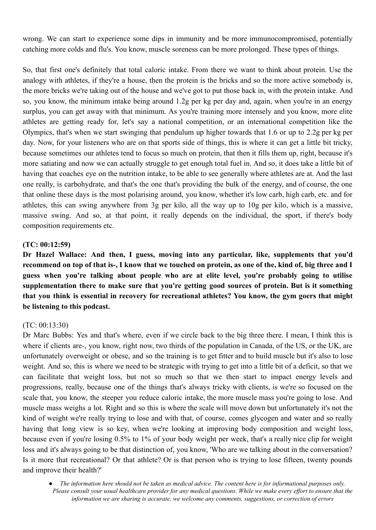wrong. We can start to experience some dips in immunity and be more immunocompromised, potentially catching more colds and flu's. You know, muscle soreness can be more prolonged. These types of things.

So, that first one's definitely that total caloric intake. From there we want to think about protein. Use the analogy with athletes, if they're a house, then the protein is the bricks and so the more active somebody is, the more bricks we're taking out of the house and we've got to put those back in, with the protein intake. And so, you know, the minimum intake being around 1.2g per kg per day and, again, when you're in an energy surplus, you can get away with that minimum. As you're training more intensely and you know, more elite athletes are getting ready for, let's say a national competition, or an international competition like the Olympics, that's when we start swinging that pendulum up higher towards that 1.6 or up to 2.2g per kg per day. Now, for your listeners who are on that sports side of things, this is where it can get a little bit tricky, because sometimes our athletes tend to focus so much on protein, that then it fills them up, right, because it's more satiating and now we can actually struggle to get enough total fuel in. And so, it does take a little bit of having that coaches eye on the nutrition intake, to be able to see generally where athletes are at. And the last one really, is carbohydrate, and that's the one that's providing the bulk of the energy, and of course, the one that online these days is the most polarising around, you know, whether it's low carb, high carb, etc. and for athletes, this can swing anywhere from 3g per kilo, all the way up to 10g per kilo, which is a massive, massive swing. And so, at that point, it really depends on the individual, the sport, if there's body composition requirements etc.

### **(TC: 00:12:59)**

**Dr Hazel Wallace: And then, I guess, moving into any particular, like, supplements that you'd** recommend on top of that is-, I know that we touched on protein, as one of the, kind of, big three and I **guess when you're talking about people who are at elite level, you're probably going to utilise supplementation there to make sure that you're getting good sources of protein. But is it something that you think is essential in recovery for recreational athletes? You know, the gym goers that might be listening to this podcast.**

## (TC: 00:13:30)

Dr Marc Bubbs: Yes and that's where, even if we circle back to the big three there. I mean, I think this is where if clients are-, you know, right now, two thirds of the population in Canada, of the US, or the UK, are unfortunately overweight or obese, and so the training is to get fitter and to build muscle but it's also to lose weight. And so, this is where we need to be strategic with trying to get into a little bit of a deficit, so that we can facilitate that weight loss, but not so much so that we then start to impact energy levels and progressions, really, because one of the things that's always tricky with clients, is we're so focused on the scale that, you know, the steeper you reduce caloric intake, the more muscle mass you're going to lose. And muscle mass weighs a lot. Right and so this is where the scale will move down but unfortunately it's not the kind of weight we're really trying to lose and with that, of course, comes glycogen and water and so really having that long view is so key, when we're looking at improving body composition and weight loss, because even if you're losing 0.5% to 1% of your body weight per week, that's a really nice clip for weight loss and it's always going to be that distinction of, you know, 'Who are we talking about in the conversation? Is it more that recreational? Or that athlete? Or is that person who is trying to lose fifteen, twenty pounds and improve their health?'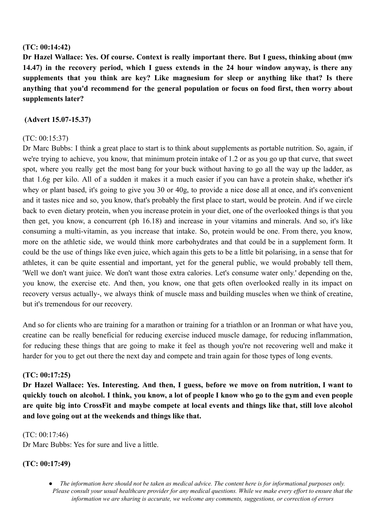### **(TC: 00:14:42)**

**Dr Hazel Wallace: Yes. Of course. Context is really important there. But I guess, thinking about (mw 14.47) in the recovery period, which I guess extends in the 24 hour window anyway, is there any supplements that you think are key? Like magnesium for sleep or anything like that? Is there anything that you'd recommend for the general population or focus on food first, then worry about supplements later?**

### **(Advert 15.07-15.37)**

## (TC: 00:15:37)

Dr Marc Bubbs: I think a great place to start is to think about supplements as portable nutrition. So, again, if we're trying to achieve, you know, that minimum protein intake of 1.2 or as you go up that curve, that sweet spot, where you really get the most bang for your buck without having to go all the way up the ladder, as that 1.6g per kilo. All of a sudden it makes it a much easier if you can have a protein shake, whether it's whey or plant based, it's going to give you 30 or 40g, to provide a nice dose all at once, and it's convenient and it tastes nice and so, you know, that's probably the first place to start, would be protein. And if we circle back to even dietary protein, when you increase protein in your diet, one of the overlooked things is that you then get, you know, a concurrent (ph 16.18) and increase in your vitamins and minerals. And so, it's like consuming a multi-vitamin, as you increase that intake. So, protein would be one. From there, you know, more on the athletic side, we would think more carbohydrates and that could be in a supplement form. It could be the use of things like even juice, which again this gets to be a little bit polarising, in a sense that for athletes, it can be quite essential and important, yet for the general public, we would probably tell them, 'Well we don't want juice. We don't want those extra calories. Let's consume water only.' depending on the, you know, the exercise etc. And then, you know, one that gets often overlooked really in its impact on recovery versus actually-, we always think of muscle mass and building muscles when we think of creatine, but it's tremendous for our recovery.

And so for clients who are training for a marathon or training for a triathlon or an Ironman or what have you, creatine can be really beneficial for reducing exercise induced muscle damage, for reducing inflammation, for reducing these things that are going to make it feel as though you're not recovering well and make it harder for you to get out there the next day and compete and train again for those types of long events.

## **(TC: 00:17:25)**

**Dr Hazel Wallace: Yes. Interesting. And then, I guess, before we move on from nutrition, I want to** quickly touch on alcohol. I think, you know, a lot of people I know who go to the gym and even people are quite big into CrossFit and maybe compete at local events and things like that, still love alcohol **and love going out at the weekends and things like that.**

(TC: 00:17:46)

Dr Marc Bubbs: Yes for sure and live a little.

# **(TC: 00:17:49)**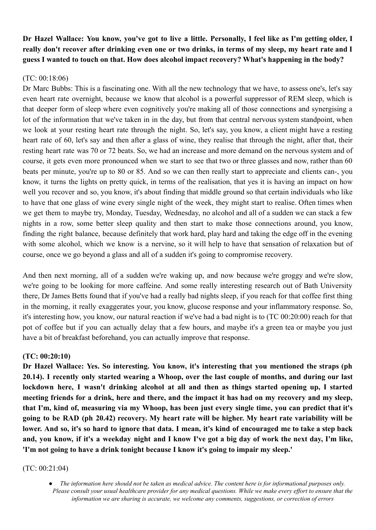Dr Hazel Wallace: You know, you've got to live a little. Personally, I feel like as I'm getting older, I really don't recover after drinking even one or two drinks, in terms of my sleep, my heart rate and I **guess I wanted to touch on that. How does alcohol impact recovery? What's happening in the body?**

### (TC: 00:18:06)

Dr Marc Bubbs: This is a fascinating one. With all the new technology that we have, to assess one's, let's say even heart rate overnight, because we know that alcohol is a powerful suppressor of REM sleep, which is that deeper form of sleep where even cognitively you're making all of those connections and synergising a lot of the information that we've taken in in the day, but from that central nervous system standpoint, when we look at your resting heart rate through the night. So, let's say, you know, a client might have a resting heart rate of 60, let's say and then after a glass of wine, they realise that through the night, after that, their resting heart rate was 70 or 72 beats. So, we had an increase and more demand on the nervous system and of course, it gets even more pronounced when we start to see that two or three glasses and now, rather than 60 beats per minute, you're up to 80 or 85. And so we can then really start to appreciate and clients can-, you know, it turns the lights on pretty quick, in terms of the realisation, that yes it is having an impact on how well you recover and so, you know, it's about finding that middle ground so that certain individuals who like to have that one glass of wine every single night of the week, they might start to realise. Often times when we get them to maybe try, Monday, Tuesday, Wednesday, no alcohol and all of a sudden we can stack a few nights in a row, some better sleep quality and then start to make those connections around, you know, finding the right balance, because definitely that work hard, play hard and taking the edge off in the evening with some alcohol, which we know is a nervine, so it will help to have that sensation of relaxation but of course, once we go beyond a glass and all of a sudden it's going to compromise recovery.

And then next morning, all of a sudden we're waking up, and now because we're groggy and we're slow, we're going to be looking for more caffeine. And some really interesting research out of Bath University there, Dr James Betts found that if you've had a really bad nights sleep, if you reach for that coffee first thing in the morning, it really exaggerates your, you know, glucose response and your inflammatory response. So, it's interesting how, you know, our natural reaction if we've had a bad night is to (TC 00:20:00) reach for that pot of coffee but if you can actually delay that a few hours, and maybe it's a green tea or maybe you just have a bit of breakfast beforehand, you can actually improve that response.

#### **(TC: 00:20:10)**

**Dr Hazel Wallace: Yes. So interesting. You know, it's interesting that you mentioned the straps (ph** 20.14). I recently only started wearing a Whoop, over the last couple of months, and during our last **lockdown here, I wasn't drinking alcohol at all and then as things started opening up, I started** meeting friends for a drink, here and there, and the impact it has had on my recovery and my sleep, that I'm, kind of, measuring via my Whoop, has been just every single time, you can predict that it's going to be RAD (ph 20.42) recovery. My heart rate will be higher. My heart rate variability will be lower. And so, it's so hard to ignore that data. I mean, it's kind of encouraged me to take a step back and, you know, if it's a weekday night and I know I've got a big day of work the next day, I'm like, **'I'm not going to have a drink tonight because I know it's going to impair my sleep.'**

#### (TC: 00:21:04)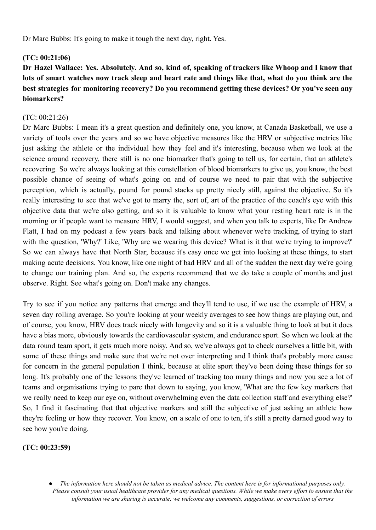Dr Marc Bubbs: It's going to make it tough the next day, right. Yes.

## **(TC: 00:21:06)**

Dr Hazel Wallace: Yes. Absolutely. And so, kind of, speaking of trackers like Whoop and I know that lots of smart watches now track sleep and heart rate and things like that, what do you think are the **best strategies for monitoring recovery? Do you recommend getting these devices? Or you've seen any biomarkers?**

## (TC: 00:21:26)

Dr Marc Bubbs: I mean it's a great question and definitely one, you know, at Canada Basketball, we use a variety of tools over the years and so we have objective measures like the HRV or subjective metrics like just asking the athlete or the individual how they feel and it's interesting, because when we look at the science around recovery, there still is no one biomarker that's going to tell us, for certain, that an athlete's recovering. So we're always looking at this constellation of blood biomarkers to give us, you know, the best possible chance of seeing of what's going on and of course we need to pair that with the subjective perception, which is actually, pound for pound stacks up pretty nicely still, against the objective. So it's really interesting to see that we've got to marry the, sort of, art of the practice of the coach's eye with this objective data that we're also getting, and so it is valuable to know what your resting heart rate is in the morning or if people want to measure HRV, I would suggest, and when you talk to experts, like Dr Andrew Flatt, I had on my podcast a few years back and talking about whenever we're tracking, of trying to start with the question, 'Why?' Like, 'Why are we wearing this device? What is it that we're trying to improve?' So we can always have that North Star, because it's easy once we get into looking at these things, to start making acute decisions. You know, like one night of bad HRV and all of the sudden the next day we're going to change our training plan. And so, the experts recommend that we do take a couple of months and just observe. Right. See what's going on. Don't make any changes.

Try to see if you notice any patterns that emerge and they'll tend to use, if we use the example of HRV, a seven day rolling average. So you're looking at your weekly averages to see how things are playing out, and of course, you know, HRV does track nicely with longevity and so it is a valuable thing to look at but it does have a bias more, obviously towards the cardiovascular system, and endurance sport. So when we look at the data round team sport, it gets much more noisy. And so, we've always got to check ourselves a little bit, with some of these things and make sure that we're not over interpreting and I think that's probably more cause for concern in the general population I think, because at elite sport they've been doing these things for so long. It's probably one of the lessons they've learned of tracking too many things and now you see a lot of teams and organisations trying to pare that down to saying, you know, 'What are the few key markers that we really need to keep our eye on, without overwhelming even the data collection staff and everything else?' So, I find it fascinating that that objective markers and still the subjective of just asking an athlete how they're feeling or how they recover. You know, on a scale of one to ten, it's still a pretty darned good way to see how you're doing.

**(TC: 00:23:59)**

The information here should not be taken as medical advice. The content here is for informational purposes only. Please consult your usual healthcare provider for any medical questions. While we make every effort to ensure that the *information we are sharing is accurate, we welcome any comments, suggestions, or correction of errors*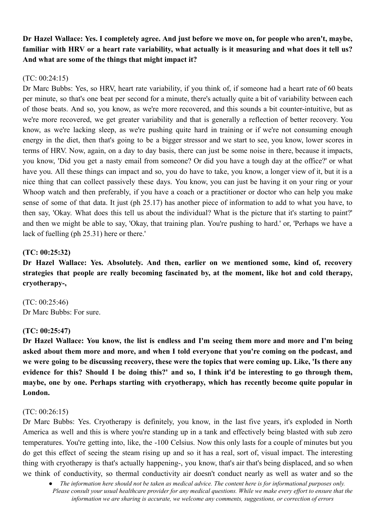Dr Hazel Wallace: Yes. I completely agree. And just before we move on, for people who aren't, maybe, familiar with HRV or a heart rate variability, what actually is it measuring and what does it tell us? **And what are some of the things that might impact it?**

### (TC: 00:24:15)

Dr Marc Bubbs: Yes, so HRV, heart rate variability, if you think of, if someone had a heart rate of 60 beats per minute, so that's one beat per second for a minute, there's actually quite a bit of variability between each of those beats. And so, you know, as we're more recovered, and this sounds a bit counter-intuitive, but as we're more recovered, we get greater variability and that is generally a reflection of better recovery. You know, as we're lacking sleep, as we're pushing quite hard in training or if we're not consuming enough energy in the diet, then that's going to be a bigger stressor and we start to see, you know, lower scores in terms of HRV. Now, again, on a day to day basis, there can just be some noise in there, because it impacts, you know, 'Did you get a nasty email from someone? Or did you have a tough day at the office?' or what have you. All these things can impact and so, you do have to take, you know, a longer view of it, but it is a nice thing that can collect passively these days. You know, you can just be having it on your ring or your Whoop watch and then preferably, if you have a coach or a practitioner or doctor who can help you make sense of some of that data. It just (ph 25.17) has another piece of information to add to what you have, to then say, 'Okay. What does this tell us about the individual? What is the picture that it's starting to paint?' and then we might be able to say, 'Okay, that training plan. You're pushing to hard.' or, 'Perhaps we have a lack of fuelling (ph 25.31) here or there.'

## **(TC: 00:25:32)**

**Dr Hazel Wallace: Yes. Absolutely. And then, earlier on we mentioned some, kind of, recovery strategies that people are really becoming fascinated by, at the moment, like hot and cold therapy, cryotherapy-,**

(TC: 00:25:46) Dr Marc Bubbs: For sure.

#### **(TC: 00:25:47)**

Dr Hazel Wallace: You know, the list is endless and I'm seeing them more and more and I'm being **asked about them more and more, and when I told everyone that you're coming on the podcast, and** we were going to be discussing recovery, these were the topics that were coming up. Like, 'Is there any evidence for this? Should I be doing this?' and so, I think it'd be interesting to go through them, **maybe, one by one. Perhaps starting with cryotherapy, which has recently become quite popular in London.**

#### (TC: 00:26:15)

Dr Marc Bubbs: Yes. Cryotherapy is definitely, you know, in the last five years, it's exploded in North America as well and this is where you're standing up in a tank and effectively being blasted with sub zero temperatures. You're getting into, like, the -100 Celsius. Now this only lasts for a couple of minutes but you do get this effect of seeing the steam rising up and so it has a real, sort of, visual impact. The interesting thing with cryotherapy is that's actually happening-, you know, that's air that's being displaced, and so when we think of conductivity, so thermal conductivity air doesn't conduct nearly as well as water and so the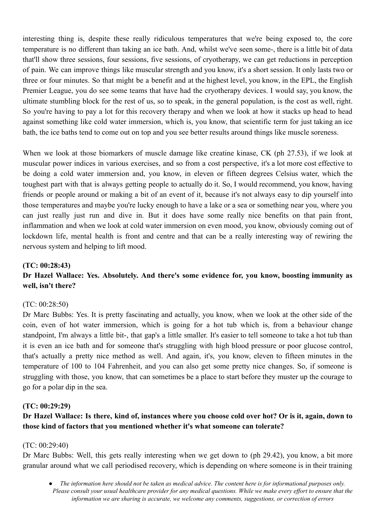interesting thing is, despite these really ridiculous temperatures that we're being exposed to, the core temperature is no different than taking an ice bath. And, whilst we've seen some-, there is a little bit of data that'll show three sessions, four sessions, five sessions, of cryotherapy, we can get reductions in perception of pain. We can improve things like muscular strength and you know, it's a short session. It only lasts two or three or four minutes. So that might be a benefit and at the highest level, you know, in the EPL, the English Premier League, you do see some teams that have had the cryotherapy devices. I would say, you know, the ultimate stumbling block for the rest of us, so to speak, in the general population, is the cost as well, right. So you're having to pay a lot for this recovery therapy and when we look at how it stacks up head to head against something like cold water immersion, which is, you know, that scientific term for just taking an ice bath, the ice baths tend to come out on top and you see better results around things like muscle soreness.

When we look at those biomarkers of muscle damage like creatine kinase, CK (ph 27.53), if we look at muscular power indices in various exercises, and so from a cost perspective, it's a lot more cost effective to be doing a cold water immersion and, you know, in eleven or fifteen degrees Celsius water, which the toughest part with that is always getting people to actually do it. So, I would recommend, you know, having friends or people around or making a bit of an event of it, because it's not always easy to dip yourself into those temperatures and maybe you're lucky enough to have a lake or a sea or something near you, where you can just really just run and dive in. But it does have some really nice benefits on that pain front, inflammation and when we look at cold water immersion on even mood, you know, obviously coming out of lockdown life, mental health is front and centre and that can be a really interesting way of rewiring the nervous system and helping to lift mood.

### **(TC: 00:28:43)**

## **Dr Hazel Wallace: Yes. Absolutely. And there's some evidence for, you know, boosting immunity as well, isn't there?**

#### (TC: 00:28:50)

Dr Marc Bubbs: Yes. It is pretty fascinating and actually, you know, when we look at the other side of the coin, even of hot water immersion, which is going for a hot tub which is, from a behaviour change standpoint, I'm always a little bit-, that gap's a little smaller. It's easier to tell someone to take a hot tub than it is even an ice bath and for someone that's struggling with high blood pressure or poor glucose control, that's actually a pretty nice method as well. And again, it's, you know, eleven to fifteen minutes in the temperature of 100 to 104 Fahrenheit, and you can also get some pretty nice changes. So, if someone is struggling with those, you know, that can sometimes be a place to start before they muster up the courage to go for a polar dip in the sea.

#### **(TC: 00:29:29)**

## Dr Hazel Wallace: Is there, kind of, instances where you choose cold over hot? Or is it, again, down to **those kind of factors that you mentioned whether it's what someone can tolerate?**

#### (TC: 00:29:40)

Dr Marc Bubbs: Well, this gets really interesting when we get down to (ph 29.42), you know, a bit more granular around what we call periodised recovery, which is depending on where someone is in their training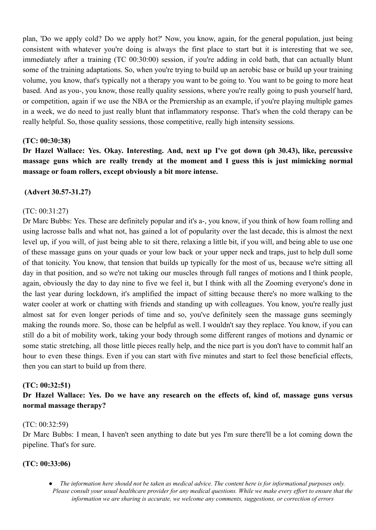plan, 'Do we apply cold? Do we apply hot?' Now, you know, again, for the general population, just being consistent with whatever you're doing is always the first place to start but it is interesting that we see, immediately after a training (TC 00:30:00) session, if you're adding in cold bath, that can actually blunt some of the training adaptations. So, when you're trying to build up an aerobic base or build up your training volume, you know, that's typically not a therapy you want to be going to. You want to be going to more heat based. And as you-, you know, those really quality sessions, where you're really going to push yourself hard, or competition, again if we use the NBA or the Premiership as an example, if you're playing multiple games in a week, we do need to just really blunt that inflammatory response. That's when the cold therapy can be really helpful. So, those quality sessions, those competitive, really high intensity sessions.

#### **(TC: 00:30:38)**

**Dr Hazel Wallace: Yes. Okay. Interesting. And, next up I've got down (ph 30.43), like, percussive massage guns which are really trendy at the moment and I guess this is just mimicking normal massage or foam rollers, except obviously a bit more intense.**

### **(Advert 30.57-31.27)**

#### (TC: 00:31:27)

Dr Marc Bubbs: Yes. These are definitely popular and it's a-, you know, if you think of how foam rolling and using lacrosse balls and what not, has gained a lot of popularity over the last decade, this is almost the next level up, if you will, of just being able to sit there, relaxing a little bit, if you will, and being able to use one of these massage guns on your quads or your low back or your upper neck and traps, just to help dull some of that tonicity. You know, that tension that builds up typically for the most of us, because we're sitting all day in that position, and so we're not taking our muscles through full ranges of motions and I think people, again, obviously the day to day nine to five we feel it, but I think with all the Zooming everyone's done in the last year during lockdown, it's amplified the impact of sitting because there's no more walking to the water cooler at work or chatting with friends and standing up with colleagues. You know, you're really just almost sat for even longer periods of time and so, you've definitely seen the massage guns seemingly making the rounds more. So, those can be helpful as well. I wouldn't say they replace. You know, if you can still do a bit of mobility work, taking your body through some different ranges of motions and dynamic or some static stretching, all those little pieces really help, and the nice part is you don't have to commit half an hour to even these things. Even if you can start with five minutes and start to feel those beneficial effects, then you can start to build up from there.

#### **(TC: 00:32:51)**

**Dr Hazel Wallace: Yes. Do we have any research on the effects of, kind of, massage guns versus normal massage therapy?**

#### (TC: 00:32:59)

Dr Marc Bubbs: I mean, I haven't seen anything to date but yes I'm sure there'll be a lot coming down the pipeline. That's for sure.

#### **(TC: 00:33:06)**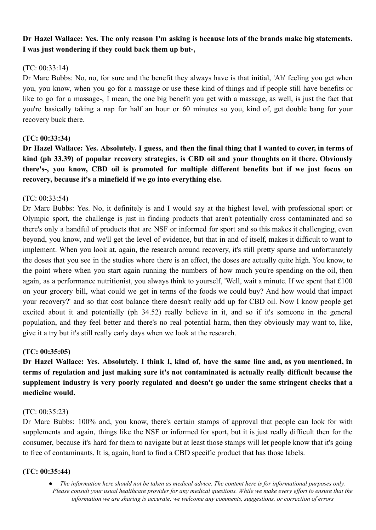## Dr Hazel Wallace: Yes. The only reason I'm asking is because lots of the brands make big statements. **I was just wondering if they could back them up but-,**

## $(TC: 00.33.14)$

Dr Marc Bubbs: No, no, for sure and the benefit they always have is that initial, 'Ah' feeling you get when you, you know, when you go for a massage or use these kind of things and if people still have benefits or like to go for a massage-, I mean, the one big benefit you get with a massage, as well, is just the fact that you're basically taking a nap for half an hour or 60 minutes so you, kind of, get double bang for your recovery buck there.

### **(TC: 00:33:34)**

Dr Hazel Wallace: Yes. Absolutely. I guess, and then the final thing that I wanted to cover, in terms of **kind (ph 33.39) of popular recovery strategies, is CBD oil and your thoughts on it there. Obviously there's-, you know, CBD oil is promoted for multiple different benefits but if we just focus on recovery, because it's a minefield if we go into everything else.**

### $(TC: 00.33.54)$

Dr Marc Bubbs: Yes. No, it definitely is and I would say at the highest level, with professional sport or Olympic sport, the challenge is just in finding products that aren't potentially cross contaminated and so there's only a handful of products that are NSF or informed for sport and so this makes it challenging, even beyond, you know, and we'll get the level of evidence, but that in and of itself, makes it difficult to want to implement. When you look at, again, the research around recovery, it's still pretty sparse and unfortunately the doses that you see in the studies where there is an effect, the doses are actually quite high. You know, to the point where when you start again running the numbers of how much you're spending on the oil, then again, as a performance nutritionist, you always think to yourself, 'Well, wait a minute. If we spent that £100 on your grocery bill, what could we get in terms of the foods we could buy? And how would that impact your recovery?' and so that cost balance there doesn't really add up for CBD oil. Now I know people get excited about it and potentially (ph 34.52) really believe in it, and so if it's someone in the general population, and they feel better and there's no real potential harm, then they obviously may want to, like, give it a try but it's still really early days when we look at the research.

## **(TC: 00:35:05)**

Dr Hazel Wallace: Yes. Absolutely. I think I, kind of, have the same line and, as you mentioned, in **terms of regulation and just making sure it's not contaminated is actually really difficult because the supplement industry is very poorly regulated and doesn't go under the same stringent checks that a medicine would.**

#### (TC: 00:35:23)

Dr Marc Bubbs: 100% and, you know, there's certain stamps of approval that people can look for with supplements and again, things like the NSF or informed for sport, but it is just really difficult then for the consumer, because it's hard for them to navigate but at least those stamps will let people know that it's going to free of contaminants. It is, again, hard to find a CBD specific product that has those labels.

#### **(TC: 00:35:44)**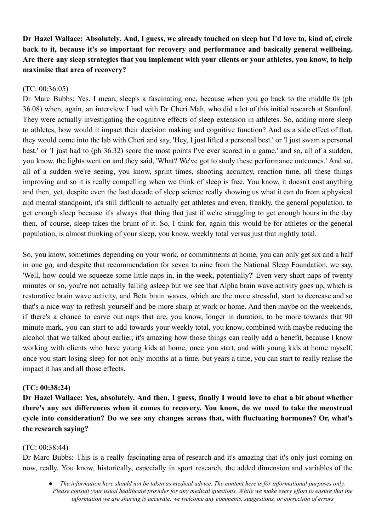Dr Hazel Wallace: Absolutely, And, I guess, we already touched on sleep but I'd love to, kind of, circle **back to it, because it's so important for recovery and performance and basically general wellbeing.** Are there any sleep strategies that you implement with your clients or your athletes, you know, to help **maximise that area of recovery?**

### (TC: 00:36:05)

Dr Marc Bubbs: Yes. I mean, sleep's a fascinating one, because when you go back to the middle 0s (ph 36.08) when, again, an interview I had with Dr Cheri Mah, who did a lot of this initial research at Stanford. They were actually investigating the cognitive effects of sleep extension in athletes. So, adding more sleep to athletes, how would it impact their decision making and cognitive function? And as a side effect of that, they would come into the lab with Cheri and say, 'Hey, I just lifted a personal best.' or 'I just swam a personal best.' or 'I just had to (ph 36.32) score the most points I've ever scored in a game.' and so, all of a sudden, you know, the lights went on and they said, 'What? We've got to study these performance outcomes.' And so, all of a sudden we're seeing, you know, sprint times, shooting accuracy, reaction time, all these things improving and so it is really compelling when we think of sleep is free. You know, it doesn't cost anything and then, yet, despite even the last decade of sleep science really showing us what it can do from a physical and mental standpoint, it's still difficult to actually get athletes and even, frankly, the general population, to get enough sleep because it's always that thing that just if we're struggling to get enough hours in the day then, of course, sleep takes the brunt of it. So, I think for, again this would be for athletes or the general population, is almost thinking of your sleep, you know, weekly total versus just that nightly total.

So, you know, sometimes depending on your work, or commitments at home, you can only get six and a half in one go, and despite that recommendation for seven to nine from the National Sleep Foundation, we say, 'Well, how could we squeeze some little naps in, in the week, potentially?' Even very short naps of twenty minutes or so, you're not actually falling asleep but we see that Alpha brain wave activity goes up, which is restorative brain wave activity, and Beta brain waves, which are the more stressful, start to decrease and so that's a nice way to refresh yourself and be more sharp at work or home. And then maybe on the weekends, if there's a chance to carve out naps that are, you know, longer in duration, to be more towards that 90 minute mark, you can start to add towards your weekly total, you know, combined with maybe reducing the alcohol that we talked about earlier, it's amazing how those things can really add a benefit, because I know working with clients who have young kids at home, once you start, and with young kids at home myself, once you start losing sleep for not only months at a time, but years a time, you can start to really realise the impact it has and all those effects.

#### **(TC: 00:38:24)**

Dr Hazel Wallace: Yes, absolutely. And then, I guess, finally I would love to chat a bit about whether **there's any sex differences when it comes to recovery. You know, do we need to take the menstrual cycle into consideration? Do we see any changes across that, with fluctuating hormones? Or, what's the research saying?**

#### (TC: 00:38:44)

Dr Marc Bubbs: This is a really fascinating area of research and it's amazing that it's only just coming on now, really. You know, historically, especially in sport research, the added dimension and variables of the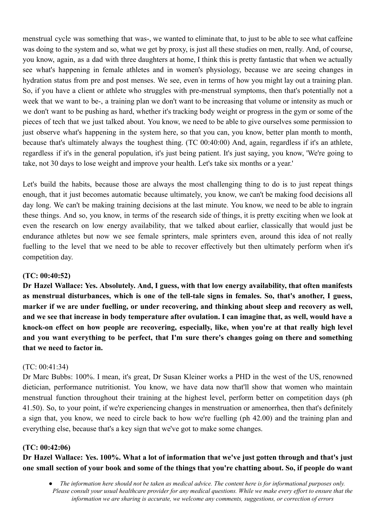menstrual cycle was something that was-, we wanted to eliminate that, to just to be able to see what caffeine was doing to the system and so, what we get by proxy, is just all these studies on men, really. And, of course, you know, again, as a dad with three daughters at home, I think this is pretty fantastic that when we actually see what's happening in female athletes and in women's physiology, because we are seeing changes in hydration status from pre and post menses. We see, even in terms of how you might lay out a training plan. So, if you have a client or athlete who struggles with pre-menstrual symptoms, then that's potentially not a week that we want to be-, a training plan we don't want to be increasing that volume or intensity as much or we don't want to be pushing as hard, whether it's tracking body weight or progress in the gym or some of the pieces of tech that we just talked about. You know, we need to be able to give ourselves some permission to just observe what's happening in the system here, so that you can, you know, better plan month to month, because that's ultimately always the toughest thing. (TC 00:40:00) And, again, regardless if it's an athlete, regardless if it's in the general population, it's just being patient. It's just saying, you know, 'We're going to take, not 30 days to lose weight and improve your health. Let's take six months or a year.'

Let's build the habits, because those are always the most challenging thing to do is to just repeat things enough, that it just becomes automatic because ultimately, you know, we can't be making food decisions all day long. We can't be making training decisions at the last minute. You know, we need to be able to ingrain these things. And so, you know, in terms of the research side of things, it is pretty exciting when we look at even the research on low energy availability, that we talked about earlier, classically that would just be endurance athletes but now we see female sprinters, male sprinters even, around this idea of not really fuelling to the level that we need to be able to recover effectively but then ultimately perform when it's competition day.

## **(TC: 00:40:52)**

**Dr Hazel Wallace: Yes. Absolutely. And, I guess, with that low energy availability, that often manifests as menstrual disturbances, which is one of the tell-tale signs in females. So, that's another, I guess, marker if we are under fuelling, or under recovering, and thinking about sleep and recovery as well,** and we see that increase in body temperature after ovulation. I can imagine that, as well, would have a **knock-on effect on how people are recovering, especially, like, when you're at that really high level and you want everything to be perfect, that I'm sure there's changes going on there and something that we need to factor in.**

#### (TC: 00:41:34)

Dr Marc Bubbs: 100%. I mean, it's great, Dr Susan Kleiner works a PHD in the west of the US, renowned dietician, performance nutritionist. You know, we have data now that'll show that women who maintain menstrual function throughout their training at the highest level, perform better on competition days (ph 41.50). So, to your point, if we're experiencing changes in menstruation or amenorrhea, then that's definitely a sign that, you know, we need to circle back to how we're fuelling (ph 42.00) and the training plan and everything else, because that's a key sign that we've got to make some changes.

#### **(TC: 00:42:06)**

Dr Hazel Wallace: Yes. 100%. What a lot of information that we've just gotten through and that's just one small section of your book and some of the things that you're chatting about. So, if people do want